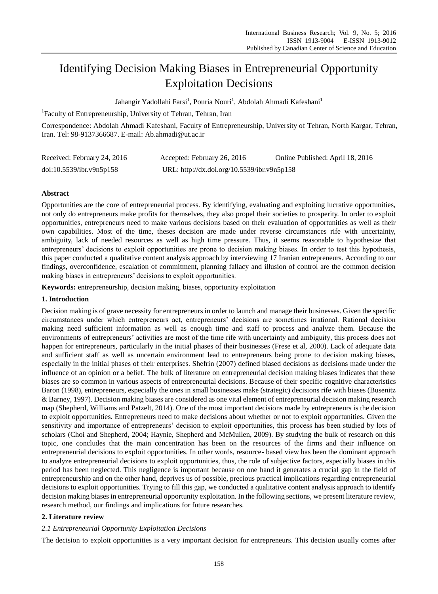# Identifying Decision Making Biases in Entrepreneurial Opportunity Exploitation Decisions

Jahangir Yadollahi Farsi<sup>1</sup>, Pouria Nouri<sup>1</sup>, Abdolah Ahmadi Kafeshani<sup>1</sup>

<sup>1</sup>Faculty of Entrepreneurship, University of Tehran, Tehran, Iran

Correspondence: Abdolah Ahmadi Kafeshani, Faculty of Entrepreneurship, University of Tehran, North Kargar, Tehran, Iran. Tel: 98-9137366687. E-mail: Ab.ahmadi@ut.ac.ir

| Received: February 24, 2016 | Accepted: February 26, 2016                 | Online Published: April 18, 2016 |
|-----------------------------|---------------------------------------------|----------------------------------|
| doi:10.5539/ibr.v9n5p158    | URL: http://dx.doi.org/10.5539/ibr.v9n5p158 |                                  |

# **Abstract**

Opportunities are the core of entrepreneurial process. By identifying, evaluating and exploiting lucrative opportunities, not only do entrepreneurs make profits for themselves, they also propel their societies to prosperity. In order to exploit opportunities, entrepreneurs need to make various decisions based on their evaluation of opportunities as well as their own capabilities. Most of the time, theses decision are made under reverse circumstances rife with uncertainty, ambiguity, lack of needed resources as well as high time pressure. Thus, it seems reasonable to hypothesize that entrepreneurs' decisions to exploit opportunities are prone to decision making biases. In order to test this hypothesis, this paper conducted a qualitative content analysis approach by interviewing 17 Iranian entrepreneurs. According to our findings, overconfidence, escalation of commitment, planning fallacy and illusion of control are the common decision making biases in entrepreneurs' decisions to exploit opportunities.

**Keywords:** entrepreneurship, decision making, biases, opportunity exploitation

# **1. Introduction**

Decision making is of grave necessity for entrepreneurs in order to launch and manage their businesses. Given the specific circumstances under which entrepreneurs act, entrepreneurs' decisions are sometimes irrational. Rational decision making need sufficient information as well as enough time and staff to process and analyze them. Because the environments of entrepreneurs' activities are most of the time rife with uncertainty and ambiguity, this process does not happen for entrepreneurs, particularly in the initial phases of their businesses (Frese et al, 2000). Lack of adequate data and sufficient staff as well as uncertain environment lead to entrepreneurs being prone to decision making biases, especially in the initial phases of their enterprises. Shefrin (2007) defined biased decisions as decisions made under the influence of an opinion or a belief. The bulk of literature on entrepreneurial decision making biases indicates that these biases are so common in various aspects of entrepreneurial decisions. Because of their specific cognitive characteristics Baron (1998), entrepreneurs, especially the ones in small businesses make (strategic) decisions rife with biases (Busenitz & Barney, 1997). Decision making biases are considered as one vital element of entrepreneurial decision making research map (Shepherd, Williams and Patzelt, 2014). One of the most important decisions made by entrepreneurs is the decision to exploit opportunities. Entrepreneurs need to make decisions about whether or not to exploit opportunities. Given the sensitivity and importance of entrepreneurs' decision to exploit opportunities, this process has been studied by lots of scholars (Choi and Shepherd, 2004; Haynie, Shepherd and McMullen, 2009). By studying the bulk of research on this topic, one concludes that the main concentration has been on the resources of the firms and their influence on entrepreneurial decisions to exploit opportunities. In other words, resource- based view has been the dominant approach to analyze entrepreneurial decisions to exploit opportunities, thus, the role of subjective factors, especially biases in this period has been neglected. This negligence is important because on one hand it generates a crucial gap in the field of entrepreneurship and on the other hand, deprives us of possible, precious practical implications regarding entrepreneurial decisions to exploit opportunities. Trying to fill this gap, we conducted a qualitative content analysis approach to identify decision making biases in entrepreneurial opportunity exploitation. In the following sections, we present literature review, research method, our findings and implications for future researches.

# **2. Literature review**

# *2.1 Entrepreneurial Opportunity Exploitation Decisions*

The decision to exploit opportunities is a very important decision for entrepreneurs. This decision usually comes after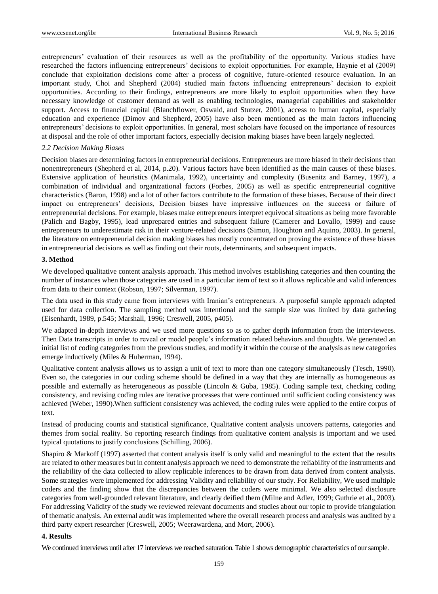entrepreneurs' evaluation of their resources as well as the profitability of the opportunity. Various studies have researched the factors influencing entrepreneurs' decisions to exploit opportunities. For example, Haynie et al (2009) conclude that exploitation decisions come after a process of cognitive, future-oriented resource evaluation. In an important study, Choi and Shepherd (2004) studied main factors influencing entrepreneurs' decision to exploit opportunities. According to their findings, entrepreneurs are more likely to exploit opportunities when they have necessary knowledge of customer demand as well as enabling technologies, managerial capabilities and stakeholder support. Access to financial capital (Blanchflower, Oswald, and Stutzer, 2001), access to human capital, especially education and experience (Dimov and Shepherd, 2005) have also been mentioned as the main factors influencing entrepreneurs' decisions to exploit opportunities. In general, most scholars have focused on the importance of resources at disposal and the role of other important factors, especially decision making biases have been largely neglected.

# *2.2 Decision Making Biases*

Decision biases are determining factors in entrepreneurial decisions. Entrepreneurs are more biased in their decisions than nonentrepreneurs (Shepherd et al, 2014, p.20). Various factors have been identified as the main causes of these biases. Extensive application of heuristics (Manimala, 1992), uncertainty and complexity (Busenitz and Barney, 1997), a combination of individual and organizational factors (Forbes, 2005) as well as specific entrepreneurial cognitive characteristics (Baron, 1998) and a lot of other factors contribute to the formation of these biases. Because of their direct impact on entrepreneurs' decisions, Decision biases have impressive influences on the success or failure of entrepreneurial decisions. For example, biases make entrepreneurs interpret equivocal situations as being more favorable (Palich and Bagby, 1995), lead unprepared entries and subsequent failure (Camerer and Lovallo, 1999) and cause entrepreneurs to underestimate risk in their venture-related decisions (Simon, Houghton and Aquino, 2003). In general, the literature on entrepreneurial decision making biases has mostly concentrated on proving the existence of these biases in entrepreneurial decisions as well as finding out their roots, determinants, and subsequent impacts.

# **3. Method**

We developed qualitative content analysis approach. This method involves establishing categories and then counting the number of instances when those categories are used in a particular item of text so it allows replicable and valid inferences from data to their context (Robson, 1997; Silverman, 1997).

The data used in this study came from interviews with Iranian's entrepreneurs. A purposeful sample approach adapted used for data collection. The sampling method was intentional and the sample size was limited by data gathering (Eisenhardt, 1989, p.545; Marshall, 1996; Creswell, 2005, p405).

We adapted in-depth interviews and we used more questions so as to gather depth information from the interviewees. Then Data transcripts in order to reveal or model people's information related behaviors and thoughts. We generated an initial list of coding categories from the previous studies, and modify it within the course of the analysis as new categories emerge inductively (Miles & Huberman, 1994).

Qualitative content analysis allows us to assign a unit of text to more than one category simultaneously (Tesch, 1990). Even so, the categories in our coding scheme should be defined in a way that they are internally as homogeneous as possible and externally as heterogeneous as possible (Lincoln & Guba, 1985). Coding sample text, checking coding consistency, and revising coding rules are iterative processes that were continued until sufficient coding consistency was achieved (Weber, 1990).When sufficient consistency was achieved, the coding rules were applied to the entire corpus of text.

Instead of producing counts and statistical significance, Qualitative content analysis uncovers patterns, categories and themes from social reality. So reporting research findings from qualitative content analysis is important and we used typical quotations to justify conclusions (Schilling, 2006).

Shapiro & Markoff (1997) asserted that content analysis itself is only valid and meaningful to the extent that the results are related to other measures but in content analysis approach we need to demonstrate the reliability of the instruments and the reliability of the data collected to allow replicable inferences to be drawn from data derived from content analysis. Some strategies were implemented for addressing Validity and reliability of our study. For Reliability, We used multiple coders and the finding show that the discrepancies between the coders were minimal. We also selected disclosure categories from well-grounded relevant literature, and clearly deified them (Milne and Adler, 1999; Guthrie et al., 2003). For addressing Validity of the study we reviewed relevant documents and studies about our topic to provide triangulation of thematic analysis. An external audit was implemented where the overall research process and analysis was audited by a third party expert researcher (Creswell, 2005; Weerawardena, and Mort, 2006).

# **4. Results**

We continued interviews until after 17 interviews we reached saturation. Table 1 shows demographic characteristics of our sample.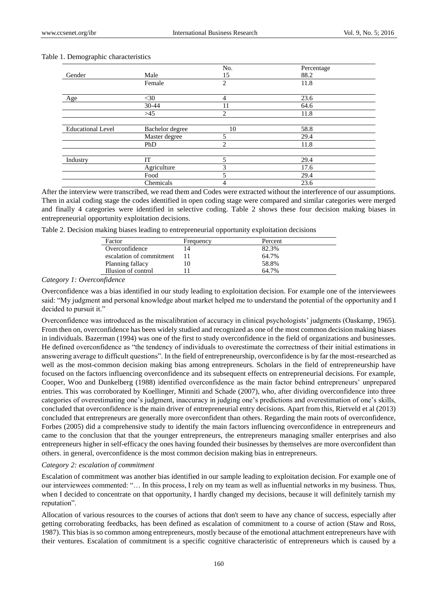|                          |                 | No.            | Percentage |  |
|--------------------------|-----------------|----------------|------------|--|
| Gender                   | Male            | 15             | 88.2       |  |
|                          | Female          | 2              | 11.8       |  |
|                          |                 |                |            |  |
| Age                      | $<$ 30          | 4              | 23.6       |  |
|                          | 30-44           | 11             | 64.6       |  |
|                          | $>45$           | 2              | 11.8       |  |
|                          |                 |                |            |  |
| <b>Educational Level</b> | Bachelor degree | 10             | 58.8       |  |
|                          | Master degree   | 5              | 29.4       |  |
|                          | PhD             | $\overline{2}$ | 11.8       |  |
|                          |                 |                |            |  |
| Industry                 | IΤ              | 5              | 29.4       |  |
|                          | Agriculture     | 3              | 17.6       |  |
|                          | Food            | 5              | 29.4       |  |
|                          | Chemicals       | 4              | 23.6       |  |

### Table 1. Demographic characteristics

After the interview were transcribed, we read them and Codes were extracted without the interference of our assumptions. Then in axial coding stage the codes identified in open coding stage were compared and similar categories were merged and finally 4 categories were identified in selective coding. Table 2 shows these four decision making biases in entrepreneurial opportunity exploitation decisions.

Table 2. Decision making biases leading to entrepreneurial opportunity exploitation decisions

| Factor                   | Frequency | Percent |
|--------------------------|-----------|---------|
| Overconfidence           |           | 82.3%   |
| escalation of commitment |           | 64.7%   |
| Planning fallacy         |           | 58.8%   |
| Illusion of control      |           | 64.7%   |
| $\sim$ $\sim$            |           |         |

*Category 1: Overconfidence* 

Overconfidence was a bias identified in our study leading to exploitation decision. For example one of the interviewees said: "My judgment and personal knowledge about market helped me to understand the potential of the opportunity and I decided to pursuit it."

Overconfidence was introduced as the miscalibration of accuracy in clinical psychologists' judgments (Oaskamp, 1965). From then on, overconfidence has been widely studied and recognized as one of the most common decision making biases in individuals. Bazerman (1994) was one of the first to study overconfidence in the field of organizations and businesses. He defined overconfidence as "the tendency of individuals to overestimate the correctness of their initial estimations in answering average to difficult questions". In the field of entrepreneurship, overconfidence is by far the most-researched as well as the most-common decision making bias among entrepreneurs. Scholars in the field of entrepreneurship have focused on the factors influencing overconfidence and its subsequent effects on entrepreneurial decisions. For example, Cooper, Woo and Dunkelberg (1988) identified overconfidence as the main factor behind entrepreneurs' unprepared entries. This was corroborated by Koellinger, Minniti and Schade (2007), who, after dividing overconfidence into three categories of overestimating one's judgment, inaccuracy in judging one's predictions and overestimation of one's skills, concluded that overconfidence is the main driver of entrepreneurial entry decisions. Apart from this, Rietveld et al (2013) concluded that entrepreneurs are generally more overconfident than others. Regarding the main roots of overconfidence, Forbes (2005) did a comprehensive study to identify the main factors influencing overconfidence in entrepreneurs and came to the conclusion that that the younger entrepreneurs, the entrepreneurs managing smaller enterprises and also entrepreneurs higher in self-efficacy the ones having founded their businesses by themselves are more overconfident than others. in general, overconfidence is the most common decision making bias in entrepreneurs.

#### *Category 2: escalation of commitment*

Escalation of commitment was another bias identified in our sample leading to exploitation decision. For example one of our interviewees commented: "… In this process, I rely on my team as well as influential networks in my business. Thus, when I decided to concentrate on that opportunity, I hardly changed my decisions, because it will definitely tarnish my reputation".

Allocation of various resources to the courses of actions that don't seem to have any chance of success, especially after getting corroborating feedbacks, has been defined as escalation of commitment to a course of action (Staw and Ross, 1987). This bias is so common among entrepreneurs, mostly because of the emotional attachment entrepreneurs have with their ventures. Escalation of commitment is a specific cognitive characteristic of entrepreneurs which is caused by a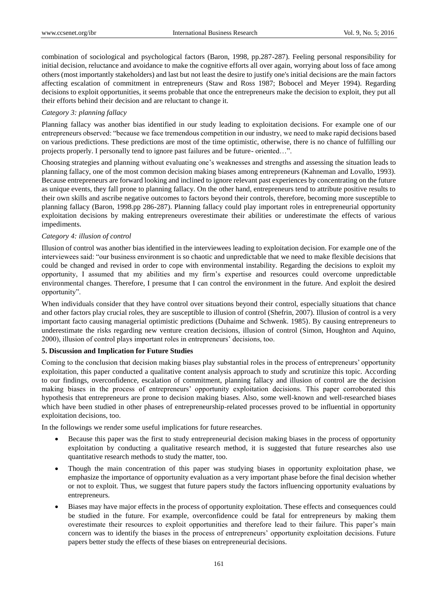combination of sociological and psychological factors (Baron, 1998, pp.287-287). Feeling personal responsibility for initial decision, reluctance and avoidance to make the cognitive efforts all over again, worrying about loss of face among others (most importantly stakeholders) and last but not least the desire to justify one's initial decisions are the main factors affecting escalation of commitment in entrepreneurs (Staw and Ross 1987; Bobocel and Meyer 1994). Regarding decisions to exploit opportunities, it seems probable that once the entrepreneurs make the decision to exploit, they put all their efforts behind their decision and are reluctant to change it.

# *Category 3: planning fallacy*

Planning fallacy was another bias identified in our study leading to exploitation decisions. For example one of our entrepreneurs observed: "because we face tremendous competition in our industry, we need to make rapid decisions based on various predictions. These predictions are most of the time optimistic, otherwise, there is no chance of fulfilling our projects properly. I personally tend to ignore past failures and be future- oriented…".

Choosing strategies and planning without evaluating one's weaknesses and strengths and assessing the situation leads to planning fallacy, one of the most common decision making biases among entrepreneurs (Kahneman and Lovallo, 1993). Because entrepreneurs are forward looking and inclined to ignore relevant past experiences by concentrating on the future as unique events, they fall prone to planning fallacy. On the other hand, entrepreneurs tend to attribute positive results to their own skills and ascribe negative outcomes to factors beyond their controls, therefore, becoming more susceptible to planning fallacy (Baron, 1998.pp 286-287). Planning fallacy could play important roles in entrepreneurial opportunity exploitation decisions by making entrepreneurs overestimate their abilities or underestimate the effects of various impediments.

# *Category 4: illusion of control*

Illusion of control was another bias identified in the interviewees leading to exploitation decision. For example one of the interviewees said: "our business environment is so chaotic and unpredictable that we need to make flexible decisions that could be changed and revised in order to cope with environmental instability. Regarding the decisions to exploit my opportunity, I assumed that my abilities and my firm's expertise and resources could overcome unpredictable environmental changes. Therefore, I presume that I can control the environment in the future. And exploit the desired opportunity".

When individuals consider that they have control over situations beyond their control, especially situations that chance and other factors play crucial roles, they are susceptible to illusion of control (Shefrin, 2007). Illusion of control is a very important facto causing managerial optimistic predictions (Duhaime and Schwenk. 1985). By causing entrepreneurs to underestimate the risks regarding new venture creation decisions, illusion of control (Simon, Houghton and Aquino, 2000), illusion of control plays important roles in entrepreneurs' decisions, too.

# **5. Discussion and Implication for Future Studies**

Coming to the conclusion that decision making biases play substantial roles in the process of entrepreneurs' opportunity exploitation, this paper conducted a qualitative content analysis approach to study and scrutinize this topic. According to our findings, overconfidence, escalation of commitment, planning fallacy and illusion of control are the decision making biases in the process of entrepreneurs' opportunity exploitation decisions. This paper corroborated this hypothesis that entrepreneurs are prone to decision making biases. Also, some well-known and well-researched biases which have been studied in other phases of entrepreneurship-related processes proved to be influential in opportunity exploitation decisions, too.

In the followings we render some useful implications for future researches.

- Because this paper was the first to study entrepreneurial decision making biases in the process of opportunity exploitation by conducting a qualitative research method, it is suggested that future researches also use quantitative research methods to study the matter, too.
- Though the main concentration of this paper was studying biases in opportunity exploitation phase, we emphasize the importance of opportunity evaluation as a very important phase before the final decision whether or not to exploit. Thus, we suggest that future papers study the factors influencing opportunity evaluations by entrepreneurs.
- Biases may have major effects in the process of opportunity exploitation. These effects and consequences could be studied in the future. For example, overconfidence could be fatal for entrepreneurs by making them overestimate their resources to exploit opportunities and therefore lead to their failure. This paper's main concern was to identify the biases in the process of entrepreneurs' opportunity exploitation decisions. Future papers better study the effects of these biases on entrepreneurial decisions.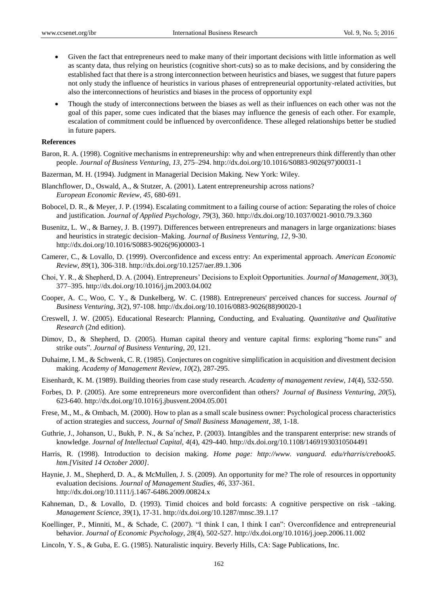- Given the fact that entrepreneurs need to make many of their important decisions with little information as well as scanty data, thus relying on heuristics (cognitive short-cuts) so as to make decisions, and by considering the established fact that there is a strong interconnection between heuristics and biases, we suggest that future papers not only study the influence of heuristics in various phases of entrepreneurial opportunity-related activities, but also the interconnections of heuristics and biases in the process of opportunity expl
- Though the study of interconnections between the biases as well as their influences on each other was not the goal of this paper, some cues indicated that the biases may influence the genesis of each other. For example, escalation of commitment could be influenced by overconfidence. These alleged relationships better be studied in future papers.

#### **References**

- Baron, R. A. (1998). Cognitive mechanisms in entrepreneurship: why and when entrepreneurs think differently than other people. *Journal of Business Venturing, 13*, 275–294. [http://dx.doi.org/10.1016/S0883-9026\(97\)00031-1](http://dx.doi.org/10.1016/S0883-9026%2897%2900031-1)
- Bazerman, M. H. (1994). Judgment in Managerial Decision Making. New York: Wiley.
- Blanchflower, D., Oswald, A., & Stutzer, A. (2001). Latent entrepreneurship across nations? *European Economic Review, 45*, 680-691.
- Bobocel, D. R., & Meyer, J. P. (1994). Escalating commitment to a failing course of action: Separating the roles of choice and justification. *Journal of Applied Psychology, 79*(3), 360. <http://dx.doi.org/10.1037/0021-9010.79.3.360>
- Busenitz, L. W., & Barney, J. B. (1997). Differences between entrepreneurs and managers in large organizations: biases and heuristics in strategic decision–Making. *Journal of Business Venturing, 12*, 9-30. [http://dx.doi.org/10.1016/S0883-9026\(96\)00003-1](http://dx.doi.org/10.1016/S0883-9026%2896%2900003-1)
- Camerer, C., & Lovallo, D. (1999). Overconfidence and excess entry: An experimental approach. *American Economic Review*, *89*(1), 306-318[. http://dx.doi.org/10.1257/aer.89.1.306](http://dx.doi.org/10.1257/aer.89.1.306)
- Choi, Y. R., & Shepherd, D. A. (2004). Entrepreneurs' Decisions to Exploit Opportunities. *Journal of Management*, *30*(3), 377–395. <http://dx.doi.org/10.1016/j.jm.2003.04.002>
- Cooper, A. C., Woo, C. Y., & Dunkelberg, W. C. (1988). Entrepreneurs' perceived chances for success. *Journal of Business Venturing, 3*(2), 97-108. [http://dx.doi.org/10.1016/0883-9026\(88\)90020-1](http://dx.doi.org/10.1016/0883-9026%2888%2990020-1)
- Creswell, J. W. (2005). Educational Research: Planning, Conducting, and Evaluating. *Quantitative and Qualitative Research* (2nd edition).
- Dimov, D., & Shepherd, D. (2005). Human capital theory and venture capital firms: exploring "home runs" and strike outs". *Journal of Business Venturing, 20*, 121.
- Duhaime, I. M., & Schwenk, C. R. (1985). Conjectures on cognitive simplification in acquisition and divestment decision making. *Academy of Management Review*, *10*(2), 287-295.
- Eisenhardt, K. M. (1989). Building theories from case study research. *Academy of management review*, *14*(4), 532-550.
- Forbes, D. P. (2005). Are some entrepreneurs more overconfident than others? *Journal of Business Venturing, 20*(5), 623-640. <http://dx.doi.org/10.1016/j.jbusvent.2004.05.001>
- Frese, M., M., & Ombach, M. (2000). How to plan as a small scale business owner: Psychological process characteristics of action strategies and success, *Journal of Small Business Management*, *38*, 1-18.
- Guthrie, J., Johanson, U., Bukh, P. N., & Sa *fichez*, P. (2003). Intangibles and the transparent enterprise: new strands of knowledge. *Journal of Intellectual Capital, 4*(4), 429-440[. http://dx.doi.org/10.1108/14691930310504491](http://dx.doi.org/10.1108/14691930310504491)
- Harris, R. (1998). Introduction to decision making. *Home page: http://www. vanguard. edu/rharris/crebook5. htm.[Visited 14 October 2000]*.
- Haynie, J. M., Shepherd, D. A., & McMullen, J. S. (2009). An opportunity for me? The role of resources in opportunity evaluation decisions. *Journal of Management Studies, 46*, 337-361. <http://dx.doi.org/10.1111/j.1467-6486.2009.00824.x>
- Kahneman, D., & Lovallo, D. (1993). Timid choices and bold forcasts: A cognitive perspective on risk –taking. *Management Science, 39*(1), 17-31. <http://dx.doi.org/10.1287/mnsc.39.1.17>
- Koellinger, P., Minniti, M., & Schade, C. (2007). "I think I can, I think I can": Overconfidence and entrepreneurial behavior. *Journal of Economic Psychology*, *28*(4), 502-527. <http://dx.doi.org/10.1016/j.joep.2006.11.002>
- Lincoln, Y. S., & Guba, E. G. (1985). Naturalistic inquiry. Beverly Hills, CA: Sage Publications, Inc.